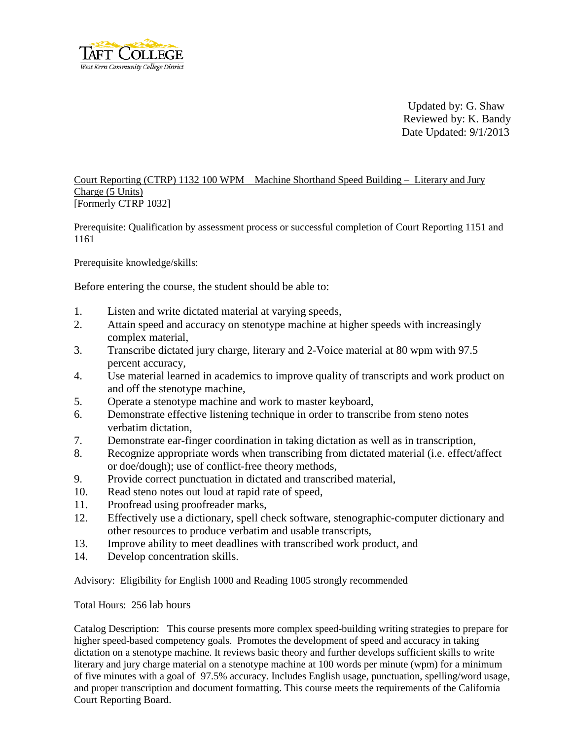

Updated by: G. Shaw Reviewed by: K. Bandy Date Updated: 9/1/2013

## Court Reporting (CTRP) 1132 100 WPM Machine Shorthand Speed Building – Literary and Jury Charge (5 Units) [Formerly CTRP 1032]

Prerequisite: Qualification by assessment process or successful completion of Court Reporting 1151 and 1161

Prerequisite knowledge/skills:

Before entering the course, the student should be able to:

- 1. Listen and write dictated material at varying speeds,
- 2. Attain speed and accuracy on stenotype machine at higher speeds with increasingly complex material,
- 3. Transcribe dictated jury charge, literary and 2-Voice material at 80 wpm with 97.5 percent accuracy,
- 4. Use material learned in academics to improve quality of transcripts and work product on and off the stenotype machine,
- 5. Operate a stenotype machine and work to master keyboard,
- 6. Demonstrate effective listening technique in order to transcribe from steno notes verbatim dictation,
- 7. Demonstrate ear-finger coordination in taking dictation as well as in transcription,
- 8. Recognize appropriate words when transcribing from dictated material (i.e. effect/affect or doe/dough); use of conflict-free theory methods,
- 9. Provide correct punctuation in dictated and transcribed material,
- 10. Read steno notes out loud at rapid rate of speed,
- 11. Proofread using proofreader marks,
- 12. Effectively use a dictionary, spell check software, stenographic-computer dictionary and other resources to produce verbatim and usable transcripts,
- 13. Improve ability to meet deadlines with transcribed work product, and
- 14. Develop concentration skills.

Advisory: Eligibility for English 1000 and Reading 1005 strongly recommended

Total Hours: 256 lab hours

Catalog Description: This course presents more complex speed-building writing strategies to prepare for higher speed-based competency goals. Promotes the development of speed and accuracy in taking dictation on a stenotype machine. It reviews basic theory and further develops sufficient skills to write literary and jury charge material on a stenotype machine at 100 words per minute (wpm) for a minimum of five minutes with a goal of 97.5% accuracy. Includes English usage, punctuation, spelling/word usage, and proper transcription and document formatting. This course meets the requirements of the California Court Reporting Board.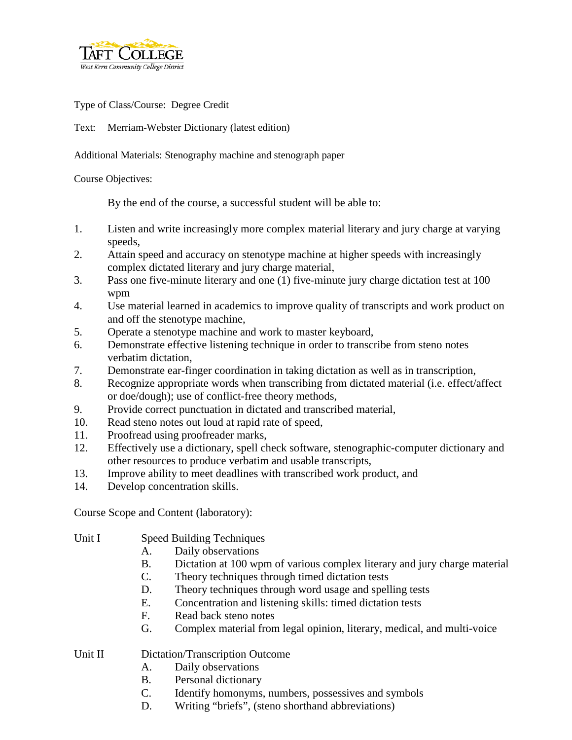

Type of Class/Course: Degree Credit

Text: Merriam-Webster Dictionary (latest edition)

Additional Materials: Stenography machine and stenograph paper

## Course Objectives:

By the end of the course, a successful student will be able to:

- 1. Listen and write increasingly more complex material literary and jury charge at varying speeds,
- 2. Attain speed and accuracy on stenotype machine at higher speeds with increasingly complex dictated literary and jury charge material,
- 3. Pass one five-minute literary and one (1) five-minute jury charge dictation test at 100 wpm
- 4. Use material learned in academics to improve quality of transcripts and work product on and off the stenotype machine,
- 5. Operate a stenotype machine and work to master keyboard,
- 6. Demonstrate effective listening technique in order to transcribe from steno notes verbatim dictation,
- 7. Demonstrate ear-finger coordination in taking dictation as well as in transcription,
- 8. Recognize appropriate words when transcribing from dictated material (i.e. effect/affect or doe/dough); use of conflict-free theory methods,
- 9. Provide correct punctuation in dictated and transcribed material,
- 10. Read steno notes out loud at rapid rate of speed,
- 11. Proofread using proofreader marks,
- 12. Effectively use a dictionary, spell check software, stenographic-computer dictionary and other resources to produce verbatim and usable transcripts,
- 13. Improve ability to meet deadlines with transcribed work product, and
- 14. Develop concentration skills.

Course Scope and Content (laboratory):

- Unit I Speed Building Techniques
	- A. Daily observations
	- B. Dictation at 100 wpm of various complex literary and jury charge material
	- C. Theory techniques through timed dictation tests
	- D. Theory techniques through word usage and spelling tests
	- E. Concentration and listening skills: timed dictation tests
	- F. Read back steno notes
	- G. Complex material from legal opinion, literary, medical, and multi-voice

## Unit II Dictation/Transcription Outcome

- A. Daily observations
- B. Personal dictionary
- C. Identify homonyms, numbers, possessives and symbols
- D. Writing "briefs", (steno shorthand abbreviations)